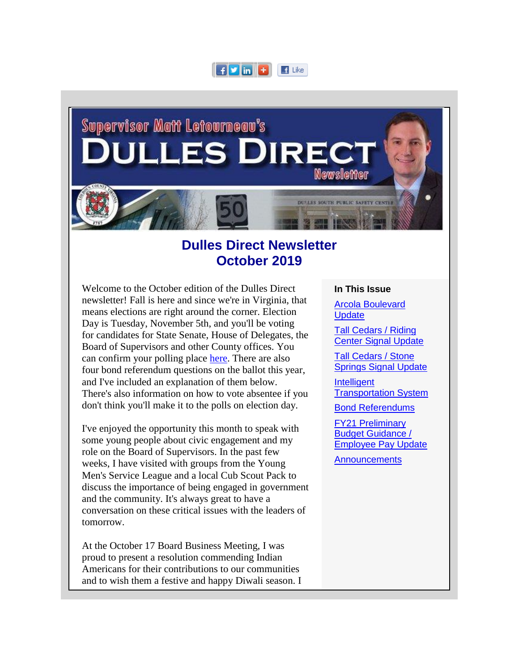



# **Dulles Direct Newsletter October 2019**

Welcome to the October edition of the Dulles Direct newsletter! Fall is here and since we're in Virginia, that means elections are right around the corner. Election Day is Tuesday, November 5th, and you'll be voting for candidates for State Senate, House of Delegates, the Board of Supervisors and other County offices. You can confirm your polling place [here.](https://urldefense.proofpoint.com/v2/url?u=http-3A__r20.rs6.net_tn.jsp-3Ff-3D001trdTeXi3tgNCEuMJXY4KHBFckoY9gUv63X7w7Vkbly-5F7APYrNbuD4VCz8MXogq1i0cC67cOI8JSYl3ta1BvrH2-5FSiJJ8Qn0MLRofTJ0EnzLbGLVBJlSx6hC-5Fd3a8LSYoDBxAEqcifiJnvtafB9nLdF6DL-2DORajD2merr-2DP-2D2XOoCK1G1lrLAFQz1R3NlAJ-2DxU-2DYBSbBb19ITvksvAWkQZg-3D-3D-26c-3DtGC5TTzuqQFudppf2t2OLECIc6Wvq5bawsLCzvQQ7yVOVWg6V-2DAanw-3D-3D-26ch-3D9y8yTR1aaR6HNA3G9vz3UVTTEOqOTu4o3ydItxUGfP4u73D27IXfDA-3D-3D&d=DwMFaQ&c=S4vs0LCp2JGKvqxyKfsbIA&r=fIsmPW5fF9TWnvy18GZCPI1vof9Xco1xiSHMKnqDKZw&m=8d6nZeP6MUZzBgb8F89twFpjdKGhcp28j0ubW9mW0AM&s=b1dAQAlWsanb4rVs64jcicFwkeRv7S8OC6AJl1rK8kA&e=) There are also four bond referendum questions on the ballot this year, and I've included an explanation of them below. There's also information on how to vote absentee if you don't think you'll make it to the polls on election day.

I've enjoyed the opportunity this month to speak with some young people about civic engagement and my role on the Board of Supervisors. In the past few weeks, I have visited with groups from the Young Men's Service League and a local Cub Scout Pack to discuss the importance of being engaged in government and the community. It's always great to have a conversation on these critical issues with the leaders of tomorrow.

At the October 17 Board Business Meeting, I was proud to present a resolution commending Indian Americans for their contributions to our communities and to wish them a festive and happy Diwali season. I

#### **In This Issue**

[Arcola Boulevard](#page-4-0)  **[Update](#page-4-0)** 

[Tall Cedars / Riding](#page-6-0)  [Center Signal Update](#page-6-0)

[Tall Cedars / Stone](#page-7-0)  [Springs Signal Update](#page-7-0)

**Intelligent** [Transportation System](#page-7-0)

[Bond Referendums](#page-8-0)

[FY21 Preliminary](#page-10-0)  Budget Guidance / [Employee Pay Update](#page-10-0)

**[Announcements](#page-12-0)**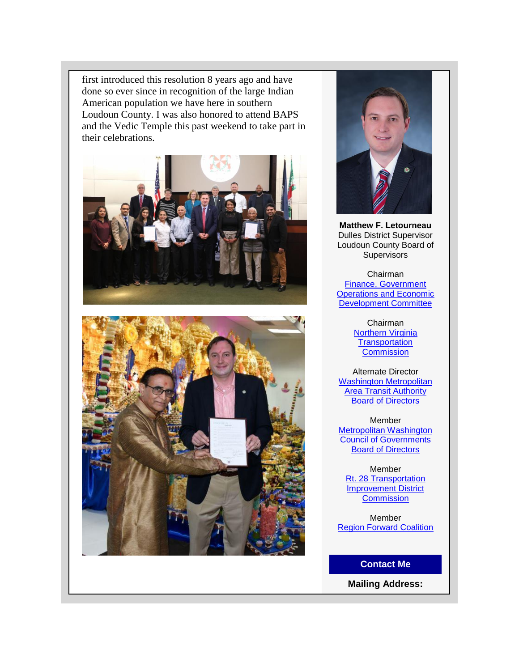first introduced this resolution 8 years ago and have done so ever since in recognition of the large Indian American population we have here in southern Loudoun County. I was also honored to attend BAPS and the Vedic Temple this past weekend to take part in their celebrations.







**Matthew F. Letourneau** Dulles District Supervisor Loudoun County Board of Supervisors

Chairman [Finance, Government](https://urldefense.proofpoint.com/v2/url?u=http-3A__r20.rs6.net_tn.jsp-3Ff-3D001trdTeXi3tgNCEuMJXY4KHBFckoY9gUv63X7w7Vkbly-5F7APYrNbuD4bD9Icfht-2DEChaNs2e7UpUJ7WZz-5FnVT4r0gHJNKhE-2DvhsWuhj0G6gRdIbRCUpaZefW-5FAwtee84TiagdCMWlMhUQVlTJNDkoEpoc8bxzlIoF6Q9sO54N21Dq8IFMQ0IFkNZI0zSMAz-5FtjdNqUCK-2DKptI-3D-26c-3DtGC5TTzuqQFudppf2t2OLECIc6Wvq5bawsLCzvQQ7yVOVWg6V-2DAanw-3D-3D-26ch-3D9y8yTR1aaR6HNA3G9vz3UVTTEOqOTu4o3ydItxUGfP4u73D27IXfDA-3D-3D&d=DwMFaQ&c=S4vs0LCp2JGKvqxyKfsbIA&r=fIsmPW5fF9TWnvy18GZCPI1vof9Xco1xiSHMKnqDKZw&m=8d6nZeP6MUZzBgb8F89twFpjdKGhcp28j0ubW9mW0AM&s=5kAxpV_35gWSyzEjB3KUr9clj6KiMoldOA-ZLu-pxbk&e=)  **Operations and Economic** [Development Committee](https://urldefense.proofpoint.com/v2/url?u=http-3A__r20.rs6.net_tn.jsp-3Ff-3D001trdTeXi3tgNCEuMJXY4KHBFckoY9gUv63X7w7Vkbly-5F7APYrNbuD4bD9Icfht-2DEChaNs2e7UpUJ7WZz-5FnVT4r0gHJNKhE-2DvhsWuhj0G6gRdIbRCUpaZefW-5FAwtee84TiagdCMWlMhUQVlTJNDkoEpoc8bxzlIoF6Q9sO54N21Dq8IFMQ0IFkNZI0zSMAz-5FtjdNqUCK-2DKptI-3D-26c-3DtGC5TTzuqQFudppf2t2OLECIc6Wvq5bawsLCzvQQ7yVOVWg6V-2DAanw-3D-3D-26ch-3D9y8yTR1aaR6HNA3G9vz3UVTTEOqOTu4o3ydItxUGfP4u73D27IXfDA-3D-3D&d=DwMFaQ&c=S4vs0LCp2JGKvqxyKfsbIA&r=fIsmPW5fF9TWnvy18GZCPI1vof9Xco1xiSHMKnqDKZw&m=8d6nZeP6MUZzBgb8F89twFpjdKGhcp28j0ubW9mW0AM&s=5kAxpV_35gWSyzEjB3KUr9clj6KiMoldOA-ZLu-pxbk&e=)

> Chairman [Northern Virginia](https://urldefense.proofpoint.com/v2/url?u=http-3A__r20.rs6.net_tn.jsp-3Ff-3D001trdTeXi3tgNCEuMJXY4KHBFckoY9gUv63X7w7Vkbly-5F7APYrNbuD4bD9Icfht-2DEC1WSm0QhucJQiAamFuZiAQnm3ZcdqMsMPXJR1QPH-2DzWUWJxK2LM2VcDH3XL7AcrS5diI7eFWk3nRgp312Zz-2DXbmPWrFGpwUvQlh4WqLnNc-2DZIhI2sDnauXg-3D-3D-26c-3DtGC5TTzuqQFudppf2t2OLECIc6Wvq5bawsLCzvQQ7yVOVWg6V-2DAanw-3D-3D-26ch-3D9y8yTR1aaR6HNA3G9vz3UVTTEOqOTu4o3ydItxUGfP4u73D27IXfDA-3D-3D&d=DwMFaQ&c=S4vs0LCp2JGKvqxyKfsbIA&r=fIsmPW5fF9TWnvy18GZCPI1vof9Xco1xiSHMKnqDKZw&m=8d6nZeP6MUZzBgb8F89twFpjdKGhcp28j0ubW9mW0AM&s=Ls2HBn21HTnZXKicl_Q1PYI4rx9Fx-0bzs59idfB4JE&e=)  **Transportation [Commission](https://urldefense.proofpoint.com/v2/url?u=http-3A__r20.rs6.net_tn.jsp-3Ff-3D001trdTeXi3tgNCEuMJXY4KHBFckoY9gUv63X7w7Vkbly-5F7APYrNbuD4bD9Icfht-2DEC1WSm0QhucJQiAamFuZiAQnm3ZcdqMsMPXJR1QPH-2DzWUWJxK2LM2VcDH3XL7AcrS5diI7eFWk3nRgp312Zz-2DXbmPWrFGpwUvQlh4WqLnNc-2DZIhI2sDnauXg-3D-3D-26c-3DtGC5TTzuqQFudppf2t2OLECIc6Wvq5bawsLCzvQQ7yVOVWg6V-2DAanw-3D-3D-26ch-3D9y8yTR1aaR6HNA3G9vz3UVTTEOqOTu4o3ydItxUGfP4u73D27IXfDA-3D-3D&d=DwMFaQ&c=S4vs0LCp2JGKvqxyKfsbIA&r=fIsmPW5fF9TWnvy18GZCPI1vof9Xco1xiSHMKnqDKZw&m=8d6nZeP6MUZzBgb8F89twFpjdKGhcp28j0ubW9mW0AM&s=Ls2HBn21HTnZXKicl_Q1PYI4rx9Fx-0bzs59idfB4JE&e=)**

Alternate Director [Washington Metropolitan](https://urldefense.proofpoint.com/v2/url?u=http-3A__r20.rs6.net_tn.jsp-3Ff-3D001trdTeXi3tgNCEuMJXY4KHBFckoY9gUv63X7w7Vkbly-5F7APYrNbuD4X1M2pmci06OCzWsCD89ORrhja9t7zKgoM5WaSafRqDCasjpArwgSZibtByzFsLcn8MW7TAlW5ngZ-2DQGSOTdB1SkOEXt1qw-5FZBjbJ7tKgbVXoitmmfhcdps-3D-26c-3DtGC5TTzuqQFudppf2t2OLECIc6Wvq5bawsLCzvQQ7yVOVWg6V-2DAanw-3D-3D-26ch-3D9y8yTR1aaR6HNA3G9vz3UVTTEOqOTu4o3ydItxUGfP4u73D27IXfDA-3D-3D&d=DwMFaQ&c=S4vs0LCp2JGKvqxyKfsbIA&r=fIsmPW5fF9TWnvy18GZCPI1vof9Xco1xiSHMKnqDKZw&m=8d6nZeP6MUZzBgb8F89twFpjdKGhcp28j0ubW9mW0AM&s=2YPjq5FnXW1UtaLhusWI6sAenWoR60blNfp8xx9DBvM&e=)  **Area Transit Authority** [Board of Directors](https://urldefense.proofpoint.com/v2/url?u=http-3A__r20.rs6.net_tn.jsp-3Ff-3D001trdTeXi3tgNCEuMJXY4KHBFckoY9gUv63X7w7Vkbly-5F7APYrNbuD4X1M2pmci06OCzWsCD89ORrhja9t7zKgoM5WaSafRqDCasjpArwgSZibtByzFsLcn8MW7TAlW5ngZ-2DQGSOTdB1SkOEXt1qw-5FZBjbJ7tKgbVXoitmmfhcdps-3D-26c-3DtGC5TTzuqQFudppf2t2OLECIc6Wvq5bawsLCzvQQ7yVOVWg6V-2DAanw-3D-3D-26ch-3D9y8yTR1aaR6HNA3G9vz3UVTTEOqOTu4o3ydItxUGfP4u73D27IXfDA-3D-3D&d=DwMFaQ&c=S4vs0LCp2JGKvqxyKfsbIA&r=fIsmPW5fF9TWnvy18GZCPI1vof9Xco1xiSHMKnqDKZw&m=8d6nZeP6MUZzBgb8F89twFpjdKGhcp28j0ubW9mW0AM&s=2YPjq5FnXW1UtaLhusWI6sAenWoR60blNfp8xx9DBvM&e=)

Member [Metropolitan Washington](https://urldefense.proofpoint.com/v2/url?u=http-3A__r20.rs6.net_tn.jsp-3Ff-3D001trdTeXi3tgNCEuMJXY4KHBFckoY9gUv63X7w7Vkbly-5F7APYrNbuD4bD9Icfht-2DECApoq00LUTXcYM6VgY6zNYp2pvLSvfcEsgzVNzSmHoJ35zhW7EHSfGOJIdjJt0B4gM4I-5F-5F0yy-2DeYxMYKfkgD-2DyIns9M7quX-5F6kMwQ-2DLMXLYk-3D-26c-3DtGC5TTzuqQFudppf2t2OLECIc6Wvq5bawsLCzvQQ7yVOVWg6V-2DAanw-3D-3D-26ch-3D9y8yTR1aaR6HNA3G9vz3UVTTEOqOTu4o3ydItxUGfP4u73D27IXfDA-3D-3D&d=DwMFaQ&c=S4vs0LCp2JGKvqxyKfsbIA&r=fIsmPW5fF9TWnvy18GZCPI1vof9Xco1xiSHMKnqDKZw&m=8d6nZeP6MUZzBgb8F89twFpjdKGhcp28j0ubW9mW0AM&s=e4GSkhIVbx5LmpQvZYNTI2GP8EtReoyN4k8FMMuwZx4&e=)  [Council of Governments](https://urldefense.proofpoint.com/v2/url?u=http-3A__r20.rs6.net_tn.jsp-3Ff-3D001trdTeXi3tgNCEuMJXY4KHBFckoY9gUv63X7w7Vkbly-5F7APYrNbuD4bD9Icfht-2DECApoq00LUTXcYM6VgY6zNYp2pvLSvfcEsgzVNzSmHoJ35zhW7EHSfGOJIdjJt0B4gM4I-5F-5F0yy-2DeYxMYKfkgD-2DyIns9M7quX-5F6kMwQ-2DLMXLYk-3D-26c-3DtGC5TTzuqQFudppf2t2OLECIc6Wvq5bawsLCzvQQ7yVOVWg6V-2DAanw-3D-3D-26ch-3D9y8yTR1aaR6HNA3G9vz3UVTTEOqOTu4o3ydItxUGfP4u73D27IXfDA-3D-3D&d=DwMFaQ&c=S4vs0LCp2JGKvqxyKfsbIA&r=fIsmPW5fF9TWnvy18GZCPI1vof9Xco1xiSHMKnqDKZw&m=8d6nZeP6MUZzBgb8F89twFpjdKGhcp28j0ubW9mW0AM&s=e4GSkhIVbx5LmpQvZYNTI2GP8EtReoyN4k8FMMuwZx4&e=)  [Board of Directors](https://urldefense.proofpoint.com/v2/url?u=http-3A__r20.rs6.net_tn.jsp-3Ff-3D001trdTeXi3tgNCEuMJXY4KHBFckoY9gUv63X7w7Vkbly-5F7APYrNbuD4bD9Icfht-2DECApoq00LUTXcYM6VgY6zNYp2pvLSvfcEsgzVNzSmHoJ35zhW7EHSfGOJIdjJt0B4gM4I-5F-5F0yy-2DeYxMYKfkgD-2DyIns9M7quX-5F6kMwQ-2DLMXLYk-3D-26c-3DtGC5TTzuqQFudppf2t2OLECIc6Wvq5bawsLCzvQQ7yVOVWg6V-2DAanw-3D-3D-26ch-3D9y8yTR1aaR6HNA3G9vz3UVTTEOqOTu4o3ydItxUGfP4u73D27IXfDA-3D-3D&d=DwMFaQ&c=S4vs0LCp2JGKvqxyKfsbIA&r=fIsmPW5fF9TWnvy18GZCPI1vof9Xco1xiSHMKnqDKZw&m=8d6nZeP6MUZzBgb8F89twFpjdKGhcp28j0ubW9mW0AM&s=e4GSkhIVbx5LmpQvZYNTI2GP8EtReoyN4k8FMMuwZx4&e=)

Member [Rt. 28 Transportation](https://urldefense.proofpoint.com/v2/url?u=http-3A__r20.rs6.net_tn.jsp-3Ff-3D001trdTeXi3tgNCEuMJXY4KHBFckoY9gUv63X7w7Vkbly-5F7APYrNbuD4bD9Icfht-2DECjEq2zpax8JdmBjlqiYdI64yu-2DqbYEYThtYuwqXKe4IkJS-5FHP7b9llra9RAQ7u5zrcSQLFvG6rFnWwhHWHbPzXUM8K5ugDLiHKTetJ6RC-2D5jWHkXqvG-2DMH4K-5Fa9US7lv8pQHGuh7CJdc-3D-26c-3DtGC5TTzuqQFudppf2t2OLECIc6Wvq5bawsLCzvQQ7yVOVWg6V-2DAanw-3D-3D-26ch-3D9y8yTR1aaR6HNA3G9vz3UVTTEOqOTu4o3ydItxUGfP4u73D27IXfDA-3D-3D&d=DwMFaQ&c=S4vs0LCp2JGKvqxyKfsbIA&r=fIsmPW5fF9TWnvy18GZCPI1vof9Xco1xiSHMKnqDKZw&m=8d6nZeP6MUZzBgb8F89twFpjdKGhcp28j0ubW9mW0AM&s=y6VdK1VwyE7zfXmTibMqSRLV2iq31j0rlC06lWlAyos&e=)  **Improvement District [Commission](https://urldefense.proofpoint.com/v2/url?u=http-3A__r20.rs6.net_tn.jsp-3Ff-3D001trdTeXi3tgNCEuMJXY4KHBFckoY9gUv63X7w7Vkbly-5F7APYrNbuD4bD9Icfht-2DECjEq2zpax8JdmBjlqiYdI64yu-2DqbYEYThtYuwqXKe4IkJS-5FHP7b9llra9RAQ7u5zrcSQLFvG6rFnWwhHWHbPzXUM8K5ugDLiHKTetJ6RC-2D5jWHkXqvG-2DMH4K-5Fa9US7lv8pQHGuh7CJdc-3D-26c-3DtGC5TTzuqQFudppf2t2OLECIc6Wvq5bawsLCzvQQ7yVOVWg6V-2DAanw-3D-3D-26ch-3D9y8yTR1aaR6HNA3G9vz3UVTTEOqOTu4o3ydItxUGfP4u73D27IXfDA-3D-3D&d=DwMFaQ&c=S4vs0LCp2JGKvqxyKfsbIA&r=fIsmPW5fF9TWnvy18GZCPI1vof9Xco1xiSHMKnqDKZw&m=8d6nZeP6MUZzBgb8F89twFpjdKGhcp28j0ubW9mW0AM&s=y6VdK1VwyE7zfXmTibMqSRLV2iq31j0rlC06lWlAyos&e=)** 

Member [Region Forward Coalition](https://urldefense.proofpoint.com/v2/url?u=http-3A__r20.rs6.net_tn.jsp-3Ff-3D001trdTeXi3tgNCEuMJXY4KHBFckoY9gUv63X7w7Vkbly-5F7APYrNbuD4WIY154ygThkMhyOkrjEDIWG-2DK5S-5Fbipx7KNJGdI9uE8DjrKyQVxqQimSwhodh30kkXOZzHEice1ABE465IUk8z618RFXrgtIwg-2DeDmL-5F-2D-5Fln7jTZ8pOpmOkBrZjTf-5F3eQi0OJsmwBazw8EH6cBYYRY-2DWq2MqocDZrTr1IHZ8ZZP-26c-3DtGC5TTzuqQFudppf2t2OLECIc6Wvq5bawsLCzvQQ7yVOVWg6V-2DAanw-3D-3D-26ch-3D9y8yTR1aaR6HNA3G9vz3UVTTEOqOTu4o3ydItxUGfP4u73D27IXfDA-3D-3D&d=DwMFaQ&c=S4vs0LCp2JGKvqxyKfsbIA&r=fIsmPW5fF9TWnvy18GZCPI1vof9Xco1xiSHMKnqDKZw&m=8d6nZeP6MUZzBgb8F89twFpjdKGhcp28j0ubW9mW0AM&s=OjxsohjrZRG_EwIXEnt-1voBGlx8ogi4at6qYMDD-98&e=)

**Contact Me**

**Mailing Address:**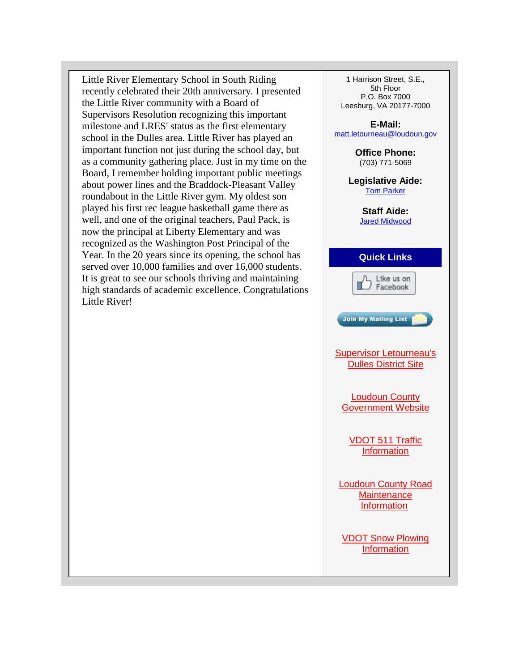Little River Elementary School in South Riding recently celebrated their 20th anniversary. I presented the Little River community with a Board of Supervisors Resolution recognizing this important milestone and LRES' status as the first elementary school in the Dulles area. Little River has played an important function not just during the school day, but as a community gathering place. Just in my time on the Board, I remember holding important public meetings about power lines and the Braddock-Pleasant Valley roundabout in the Little River gym. My oldest son played his first rec league basketball game there as well, and one of the original teachers, Paul Pack, is now the principal at Liberty Elementary and was recognized as the Washington Post Principal of the Year. In the 20 years since its opening, the school has served over 10,000 families and over 16,000 students. It is great to see our schools thriving and maintaining high standards of academic excellence. Congratulations Little River!

1 Harrison Street, S.E., 5th Floor P.O. Box 7000 Leesburg, VA 20177-7000

**E-Mail:** [matt.letourneau@loudoun.gov](mailto:matt.letourneau@loudoun.gov)

> **Office Phone:** (703) 771-5069

**Legislative Aide:** [Tom Parker](mailto:tom.parker@loudoun.gov)

> **Staff Aide:** [Jared Midwood](mailto:jared.midwood@loudoun.gov)

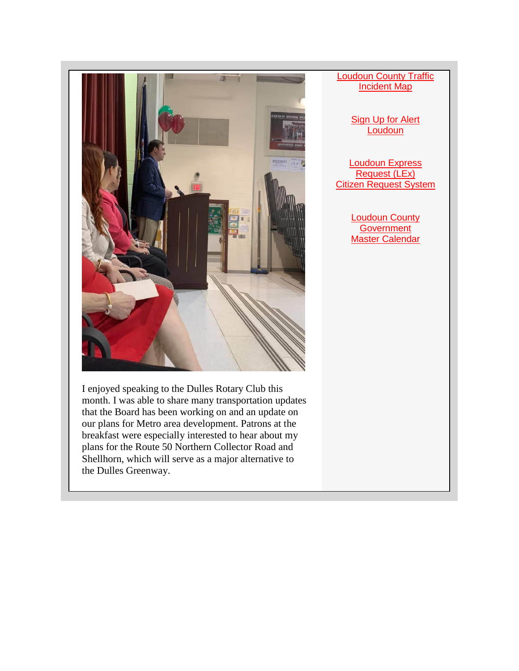

I enjoyed speaking to the Dulles Rotary Club this month. I was able to share many transportation updates that the Board has been working on and an update on our plans for Metro area development. Patrons at the breakfast were especially interested to hear about my plans for the Route 50 Northern Collector Road and Shellhorn, which will serve as a major alternative to the Dulles Greenway.

## **Loudoun County Traffic** [Incident Map](https://urldefense.proofpoint.com/v2/url?u=http-3A__r20.rs6.net_tn.jsp-3Ff-3D001trdTeXi3tgNCEuMJXY4KHBFckoY9gUv63X7w7Vkbly-5F7APYrNbuD4a24uwWWsHrpJdWW9hTzlAyx3fF-2D6X-5Foa6pGNGRZoNUK653IVonDKwNB5IEiQJZaPBn7IwUQUJFgVbuZ1NAki2vpBTjMnNLLuwidU61pc6ZQnPUEYw9tjKE-2DoeTNlZ0JPg-3D-3D-26c-3DtGC5TTzuqQFudppf2t2OLECIc6Wvq5bawsLCzvQQ7yVOVWg6V-2DAanw-3D-3D-26ch-3D9y8yTR1aaR6HNA3G9vz3UVTTEOqOTu4o3ydItxUGfP4u73D27IXfDA-3D-3D&d=DwMFaQ&c=S4vs0LCp2JGKvqxyKfsbIA&r=fIsmPW5fF9TWnvy18GZCPI1vof9Xco1xiSHMKnqDKZw&m=8d6nZeP6MUZzBgb8F89twFpjdKGhcp28j0ubW9mW0AM&s=Yryx4acvLxOWVWaHhICih4i8Y6eJ7s0g1OHQ1NDYSDk&e=)

[Sign Up for Alert](https://urldefense.proofpoint.com/v2/url?u=http-3A__r20.rs6.net_tn.jsp-3Ff-3D001trdTeXi3tgNCEuMJXY4KHBFckoY9gUv63X7w7Vkbly-5F7APYrNbuD4a24uwWWsHrpDk1tbZglGVkO7VwKqCHvaLNcDa07udSaxIx-5FlOlARJZ9q1G5YJOjk6HH0hZ-5F983oeZ-5FX2P1xDxyCr3Is3mXw-2DnES65b2G7v8ybEzUtvoD4jMDfvHub9DqQ-3D-3D-26c-3DtGC5TTzuqQFudppf2t2OLECIc6Wvq5bawsLCzvQQ7yVOVWg6V-2DAanw-3D-3D-26ch-3D9y8yTR1aaR6HNA3G9vz3UVTTEOqOTu4o3ydItxUGfP4u73D27IXfDA-3D-3D&d=DwMFaQ&c=S4vs0LCp2JGKvqxyKfsbIA&r=fIsmPW5fF9TWnvy18GZCPI1vof9Xco1xiSHMKnqDKZw&m=8d6nZeP6MUZzBgb8F89twFpjdKGhcp28j0ubW9mW0AM&s=DPLL3Mk2C4kI7M9UZ6kl1O80_lugrh6gu7HLabn04rI&e=)  **[Loudoun](https://urldefense.proofpoint.com/v2/url?u=http-3A__r20.rs6.net_tn.jsp-3Ff-3D001trdTeXi3tgNCEuMJXY4KHBFckoY9gUv63X7w7Vkbly-5F7APYrNbuD4a24uwWWsHrpDk1tbZglGVkO7VwKqCHvaLNcDa07udSaxIx-5FlOlARJZ9q1G5YJOjk6HH0hZ-5F983oeZ-5FX2P1xDxyCr3Is3mXw-2DnES65b2G7v8ybEzUtvoD4jMDfvHub9DqQ-3D-3D-26c-3DtGC5TTzuqQFudppf2t2OLECIc6Wvq5bawsLCzvQQ7yVOVWg6V-2DAanw-3D-3D-26ch-3D9y8yTR1aaR6HNA3G9vz3UVTTEOqOTu4o3ydItxUGfP4u73D27IXfDA-3D-3D&d=DwMFaQ&c=S4vs0LCp2JGKvqxyKfsbIA&r=fIsmPW5fF9TWnvy18GZCPI1vof9Xco1xiSHMKnqDKZw&m=8d6nZeP6MUZzBgb8F89twFpjdKGhcp28j0ubW9mW0AM&s=DPLL3Mk2C4kI7M9UZ6kl1O80_lugrh6gu7HLabn04rI&e=)** 

[Loudoun Express](https://urldefense.proofpoint.com/v2/url?u=http-3A__r20.rs6.net_tn.jsp-3Ff-3D001trdTeXi3tgNCEuMJXY4KHBFckoY9gUv63X7w7Vkbly-5F7APYrNbuD4a24uwWWsHrpmguASGYeHpNpd7CSXEROzrUs1fjt1kkkAxBNLAP3lgaNfJdOeQOEQV-2DjxXZ0iwrHd-5FPI7HZelzaLpbEJxOEol0-5FNLUN7Km3-5FcEdUnHO3f-2DjCZcutUA-2DKO8wVZglU4xaJp2XTK0yGc8o-3D-26c-3DtGC5TTzuqQFudppf2t2OLECIc6Wvq5bawsLCzvQQ7yVOVWg6V-2DAanw-3D-3D-26ch-3D9y8yTR1aaR6HNA3G9vz3UVTTEOqOTu4o3ydItxUGfP4u73D27IXfDA-3D-3D&d=DwMFaQ&c=S4vs0LCp2JGKvqxyKfsbIA&r=fIsmPW5fF9TWnvy18GZCPI1vof9Xco1xiSHMKnqDKZw&m=8d6nZeP6MUZzBgb8F89twFpjdKGhcp28j0ubW9mW0AM&s=QglSvEggoMFHPBWTCbYKDft4KbXzVJT_myDhW6vyJMw&e=)  [Request \(LEx\)](https://urldefense.proofpoint.com/v2/url?u=http-3A__r20.rs6.net_tn.jsp-3Ff-3D001trdTeXi3tgNCEuMJXY4KHBFckoY9gUv63X7w7Vkbly-5F7APYrNbuD4a24uwWWsHrpmguASGYeHpNpd7CSXEROzrUs1fjt1kkkAxBNLAP3lgaNfJdOeQOEQV-2DjxXZ0iwrHd-5FPI7HZelzaLpbEJxOEol0-5FNLUN7Km3-5FcEdUnHO3f-2DjCZcutUA-2DKO8wVZglU4xaJp2XTK0yGc8o-3D-26c-3DtGC5TTzuqQFudppf2t2OLECIc6Wvq5bawsLCzvQQ7yVOVWg6V-2DAanw-3D-3D-26ch-3D9y8yTR1aaR6HNA3G9vz3UVTTEOqOTu4o3ydItxUGfP4u73D27IXfDA-3D-3D&d=DwMFaQ&c=S4vs0LCp2JGKvqxyKfsbIA&r=fIsmPW5fF9TWnvy18GZCPI1vof9Xco1xiSHMKnqDKZw&m=8d6nZeP6MUZzBgb8F89twFpjdKGhcp28j0ubW9mW0AM&s=QglSvEggoMFHPBWTCbYKDft4KbXzVJT_myDhW6vyJMw&e=) Citizen Request System

> [Loudoun County](https://urldefense.proofpoint.com/v2/url?u=http-3A__r20.rs6.net_tn.jsp-3Ff-3D001trdTeXi3tgNCEuMJXY4KHBFckoY9gUv63X7w7Vkbly-5F7APYrNbuD4a24uwWWsHrpRfBL6SYRazpFf-2Dy0H21-5FwwV3F547NeAEgtEDq5dLQQwBQY7ZUpOEi2m-2Do8gbK33z44bOCG-2DO4eiM1tM-2DogWy6s4NneCvzTQNFP8JXbSZg3PiXODDSS6tHRr3Oj82fmGO-26c-3DtGC5TTzuqQFudppf2t2OLECIc6Wvq5bawsLCzvQQ7yVOVWg6V-2DAanw-3D-3D-26ch-3D9y8yTR1aaR6HNA3G9vz3UVTTEOqOTu4o3ydItxUGfP4u73D27IXfDA-3D-3D&d=DwMFaQ&c=S4vs0LCp2JGKvqxyKfsbIA&r=fIsmPW5fF9TWnvy18GZCPI1vof9Xco1xiSHMKnqDKZw&m=8d6nZeP6MUZzBgb8F89twFpjdKGhcp28j0ubW9mW0AM&s=ldrCaJBfsF10NHpmW5rZKp-O5ib9pGV3r3eyQJKhdyA&e=)  **Government** Master Calendar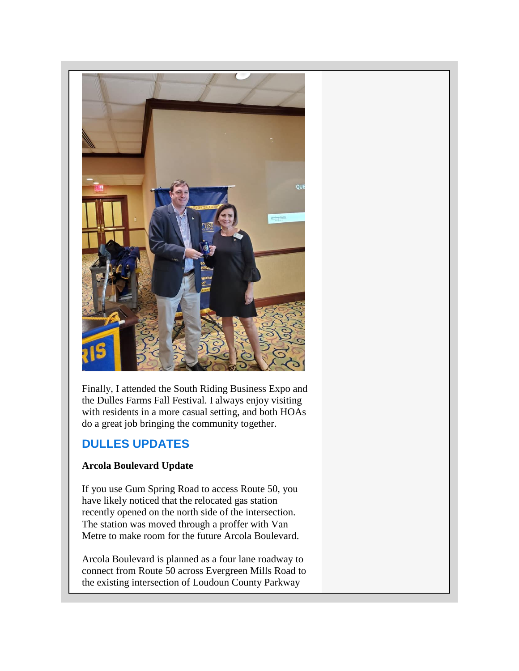<span id="page-4-0"></span>

Finally, I attended the South Riding Business Expo and the Dulles Farms Fall Festival. I always enjoy visiting with residents in a more casual setting, and both HOAs do a great job bringing the community together.

## **DULLES UPDATES**

## **Arcola Boulevard Update**

If you use Gum Spring Road to access Route 50, you have likely noticed that the relocated gas station recently opened on the north side of the intersection. The station was moved through a proffer with Van Metre to make room for the future Arcola Boulevard.

Arcola Boulevard is planned as a four lane roadway to connect from Route 50 across Evergreen Mills Road to the existing intersection of Loudoun County Parkway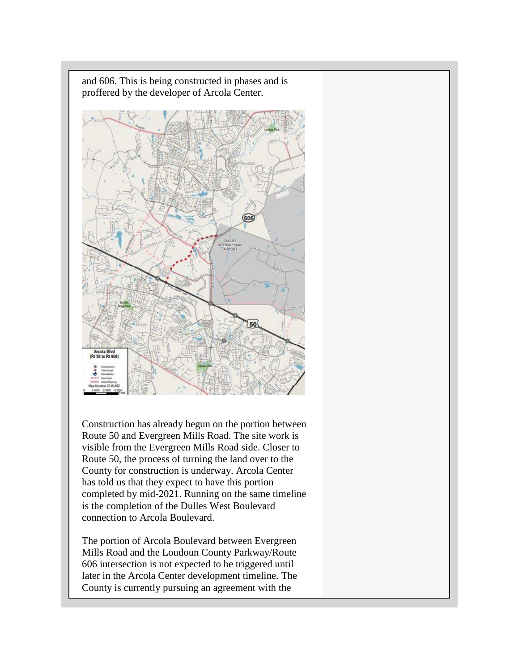

and 606. This is being constructed in phases and is proffered by the developer of Arcola Center.

Construction has already begun on the portion between Route 50 and Evergreen Mills Road. The site work is visible from the Evergreen Mills Road side. Closer to Route 50, the process of turning the land over to the County for construction is underway. Arcola Center has told us that they expect to have this portion completed by mid-2021. Running on the same timeline is the completion of the Dulles West Boulevard connection to Arcola Boulevard.

The portion of Arcola Boulevard between Evergreen Mills Road and the Loudoun County Parkway/Route 606 intersection is not expected to be triggered until later in the Arcola Center development timeline. The County is currently pursuing an agreement with the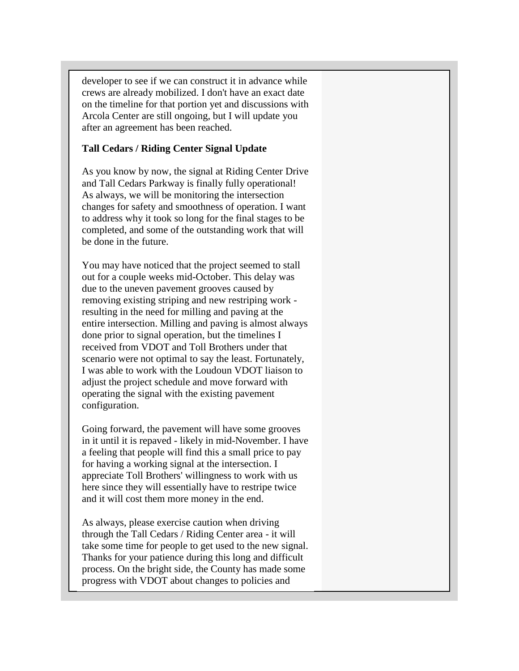<span id="page-6-0"></span>developer to see if we can construct it in advance while crews are already mobilized. I don't have an exact date on the timeline for that portion yet and discussions with Arcola Center are still ongoing, but I will update you after an agreement has been reached.

#### **Tall Cedars / Riding Center Signal Update**

As you know by now, the signal at Riding Center Drive and Tall Cedars Parkway is finally fully operational! As always, we will be monitoring the intersection changes for safety and smoothness of operation. I want to address why it took so long for the final stages to be completed, and some of the outstanding work that will be done in the future.

You may have noticed that the project seemed to stall out for a couple weeks mid-October. This delay was due to the uneven pavement grooves caused by removing existing striping and new restriping work resulting in the need for milling and paving at the entire intersection. Milling and paving is almost always done prior to signal operation, but the timelines I received from VDOT and Toll Brothers under that scenario were not optimal to say the least. Fortunately, I was able to work with the Loudoun VDOT liaison to adjust the project schedule and move forward with operating the signal with the existing pavement configuration.

Going forward, the pavement will have some grooves in it until it is repaved - likely in mid-November. I have a feeling that people will find this a small price to pay for having a working signal at the intersection. I appreciate Toll Brothers' willingness to work with us here since they will essentially have to restripe twice and it will cost them more money in the end.

As always, please exercise caution when driving through the Tall Cedars / Riding Center area - it will take some time for people to get used to the new signal. Thanks for your patience during this long and difficult process. On the bright side, the County has made some progress with VDOT about changes to policies and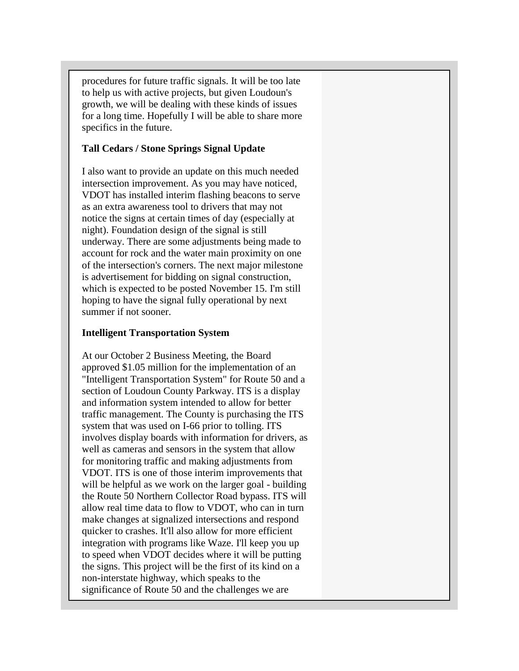<span id="page-7-0"></span>procedures for future traffic signals. It will be too late to help us with active projects, but given Loudoun's growth, we will be dealing with these kinds of issues for a long time. Hopefully I will be able to share more specifics in the future.

#### **Tall Cedars / Stone Springs Signal Update**

I also want to provide an update on this much needed intersection improvement. As you may have noticed, VDOT has installed interim flashing beacons to serve as an extra awareness tool to drivers that may not notice the signs at certain times of day (especially at night). Foundation design of the signal is still underway. There are some adjustments being made to account for rock and the water main proximity on one of the intersection's corners. The next major milestone is advertisement for bidding on signal construction, which is expected to be posted November 15. I'm still hoping to have the signal fully operational by next summer if not sooner.

#### **Intelligent Transportation System**

At our October 2 Business Meeting, the Board approved \$1.05 million for the implementation of an "Intelligent Transportation System" for Route 50 and a section of Loudoun County Parkway. ITS is a display and information system intended to allow for better traffic management. The County is purchasing the ITS system that was used on I-66 prior to tolling. ITS involves display boards with information for drivers, as well as cameras and sensors in the system that allow for monitoring traffic and making adjustments from VDOT. ITS is one of those interim improvements that will be helpful as we work on the larger goal - building the Route 50 Northern Collector Road bypass. ITS will allow real time data to flow to VDOT, who can in turn make changes at signalized intersections and respond quicker to crashes. It'll also allow for more efficient integration with programs like Waze. I'll keep you up to speed when VDOT decides where it will be putting the signs. This project will be the first of its kind on a non-interstate highway, which speaks to the significance of Route 50 and the challenges we are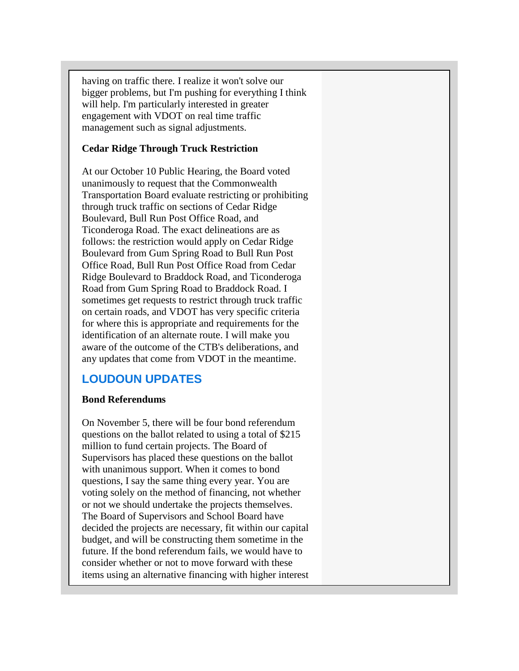<span id="page-8-0"></span>having on traffic there. I realize it won't solve our bigger problems, but I'm pushing for everything I think will help. I'm particularly interested in greater engagement with VDOT on real time traffic management such as signal adjustments.

#### **Cedar Ridge Through Truck Restriction**

At our October 10 Public Hearing, the Board voted unanimously to request that the Commonwealth Transportation Board evaluate restricting or prohibiting through truck traffic on sections of Cedar Ridge Boulevard, Bull Run Post Office Road, and Ticonderoga Road. The exact delineations are as follows: the restriction would apply on Cedar Ridge Boulevard from Gum Spring Road to Bull Run Post Office Road, Bull Run Post Office Road from Cedar Ridge Boulevard to Braddock Road, and Ticonderoga Road from Gum Spring Road to Braddock Road. I sometimes get requests to restrict through truck traffic on certain roads, and VDOT has very specific criteria for where this is appropriate and requirements for the identification of an alternate route. I will make you aware of the outcome of the CTB's deliberations, and any updates that come from VDOT in the meantime.

## **LOUDOUN UPDATES**

#### **Bond Referendums**

On November 5, there will be four bond referendum questions on the ballot related to using a total of \$215 million to fund certain projects. The Board of Supervisors has placed these questions on the ballot with unanimous support. When it comes to bond questions, I say the same thing every year. You are voting solely on the method of financing, not whether or not we should undertake the projects themselves. The Board of Supervisors and School Board have decided the projects are necessary, fit within our capital budget, and will be constructing them sometime in the future. If the bond referendum fails, we would have to consider whether or not to move forward with these items using an alternative financing with higher interest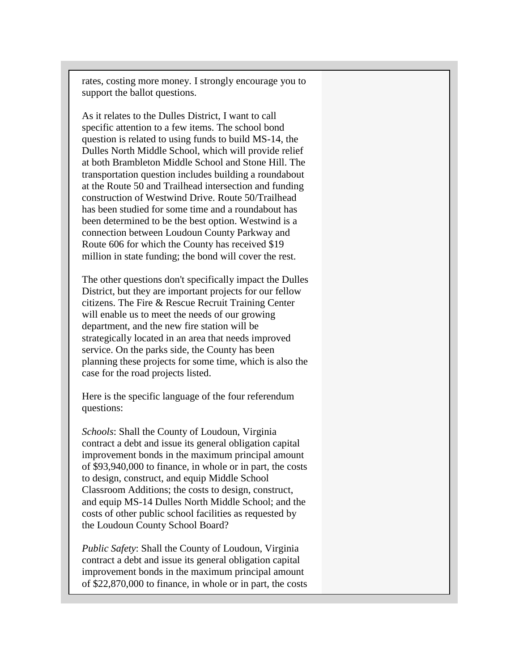rates, costing more money. I strongly encourage you to support the ballot questions.

As it relates to the Dulles District, I want to call specific attention to a few items. The school bond question is related to using funds to build MS-14, the Dulles North Middle School, which will provide relief at both Brambleton Middle School and Stone Hill. The transportation question includes building a roundabout at the Route 50 and Trailhead intersection and funding construction of Westwind Drive. Route 50/Trailhead has been studied for some time and a roundabout has been determined to be the best option. Westwind is a connection between Loudoun County Parkway and Route 606 for which the County has received \$19 million in state funding; the bond will cover the rest.

The other questions don't specifically impact the Dulles District, but they are important projects for our fellow citizens. The Fire & Rescue Recruit Training Center will enable us to meet the needs of our growing department, and the new fire station will be strategically located in an area that needs improved service. On the parks side, the County has been planning these projects for some time, which is also the case for the road projects listed.

Here is the specific language of the four referendum questions:

*Schools*: Shall the County of Loudoun, Virginia contract a debt and issue its general obligation capital improvement bonds in the maximum principal amount of \$93,940,000 to finance, in whole or in part, the costs to design, construct, and equip Middle School Classroom Additions; the costs to design, construct, and equip MS-14 Dulles North Middle School; and the costs of other public school facilities as requested by the Loudoun County School Board?

*Public Safety*: Shall the County of Loudoun, Virginia contract a debt and issue its general obligation capital improvement bonds in the maximum principal amount of \$22,870,000 to finance, in whole or in part, the costs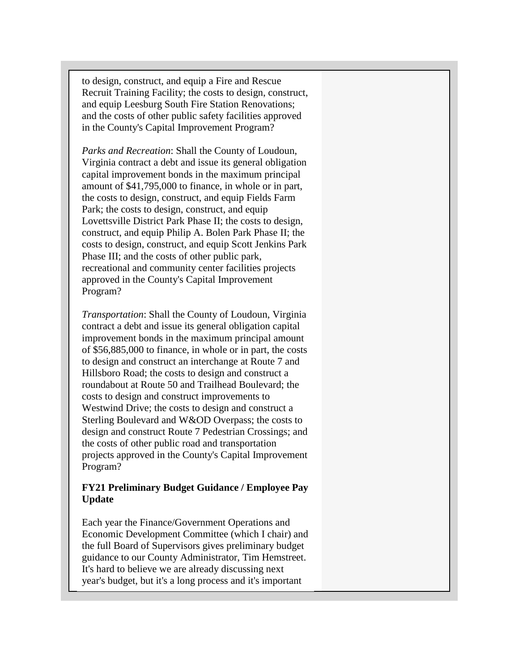<span id="page-10-0"></span>to design, construct, and equip a Fire and Rescue Recruit Training Facility; the costs to design, construct, and equip Leesburg South Fire Station Renovations; and the costs of other public safety facilities approved in the County's Capital Improvement Program?

*Parks and Recreation*: Shall the County of Loudoun, Virginia contract a debt and issue its general obligation capital improvement bonds in the maximum principal amount of \$41,795,000 to finance, in whole or in part, the costs to design, construct, and equip Fields Farm Park; the costs to design, construct, and equip Lovettsville District Park Phase II; the costs to design, construct, and equip Philip A. Bolen Park Phase II; the costs to design, construct, and equip Scott Jenkins Park Phase III; and the costs of other public park, recreational and community center facilities projects approved in the County's Capital Improvement Program?

*Transportation*: Shall the County of Loudoun, Virginia contract a debt and issue its general obligation capital improvement bonds in the maximum principal amount of \$56,885,000 to finance, in whole or in part, the costs to design and construct an interchange at Route 7 and Hillsboro Road; the costs to design and construct a roundabout at Route 50 and Trailhead Boulevard; the costs to design and construct improvements to Westwind Drive; the costs to design and construct a Sterling Boulevard and W&OD Overpass; the costs to design and construct Route 7 Pedestrian Crossings; and the costs of other public road and transportation projects approved in the County's Capital Improvement Program?

## **FY21 Preliminary Budget Guidance / Employee Pay Update**

Each year the Finance/Government Operations and Economic Development Committee (which I chair) and the full Board of Supervisors gives preliminary budget guidance to our County Administrator, Tim Hemstreet. It's hard to believe we are already discussing next year's budget, but it's a long process and it's important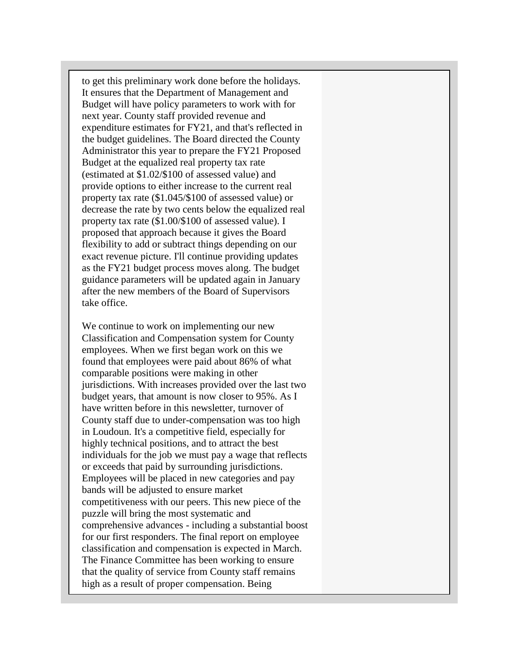to get this preliminary work done before the holidays. It ensures that the Department of Management and Budget will have policy parameters to work with for next year. County staff provided revenue and expenditure estimates for FY21, and that's reflected in the budget guidelines. The Board directed the County Administrator this year to prepare the FY21 Proposed Budget at the equalized real property tax rate (estimated at \$1.02/\$100 of assessed value) and provide options to either increase to the current real property tax rate (\$1.045/\$100 of assessed value) or decrease the rate by two cents below the equalized real property tax rate (\$1.00/\$100 of assessed value). I proposed that approach because it gives the Board flexibility to add or subtract things depending on our exact revenue picture. I'll continue providing updates as the FY21 budget process moves along. The budget guidance parameters will be updated again in January after the new members of the Board of Supervisors take office.

We continue to work on implementing our new Classification and Compensation system for County employees. When we first began work on this we found that employees were paid about 86% of what comparable positions were making in other jurisdictions. With increases provided over the last two budget years, that amount is now closer to 95%. As I have written before in this newsletter, turnover of County staff due to under-compensation was too high in Loudoun. It's a competitive field, especially for highly technical positions, and to attract the best individuals for the job we must pay a wage that reflects or exceeds that paid by surrounding jurisdictions. Employees will be placed in new categories and pay bands will be adjusted to ensure market competitiveness with our peers. This new piece of the puzzle will bring the most systematic and comprehensive advances - including a substantial boost for our first responders. The final report on employee classification and compensation is expected in March. The Finance Committee has been working to ensure that the quality of service from County staff remains high as a result of proper compensation. Being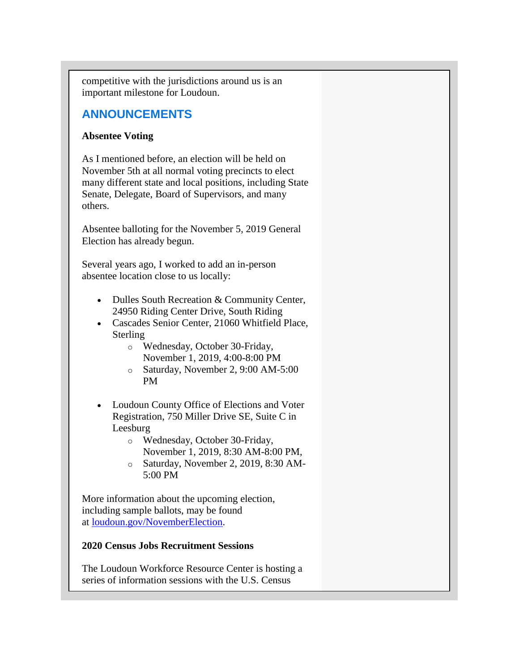<span id="page-12-0"></span>competitive with the jurisdictions around us is an important milestone for Loudoun.

## **ANNOUNCEMENTS**

### **Absentee Voting**

As I mentioned before, an election will be held on November 5th at all normal voting precincts to elect many different state and local positions, including State Senate, Delegate, Board of Supervisors, and many others.

Absentee balloting for the November 5, 2019 General Election has already begun.

Several years ago, I worked to add an in-person absentee location close to us locally:

- Dulles South Recreation & Community Center, 24950 Riding Center Drive, South Riding
- Cascades Senior Center, 21060 Whitfield Place, Sterling
	- o Wednesday, October 30-Friday, November 1, 2019, 4:00-8:00 PM
	- o Saturday, November 2, 9:00 AM-5:00 PM
- Loudoun County Office of Elections and Voter Registration, 750 Miller Drive SE, Suite C in Leesburg
	- o Wednesday, October 30-Friday, November 1, 2019, 8:30 AM-8:00 PM,
	- o Saturday, November 2, 2019, 8:30 AM-5:00 PM

More information about the upcoming election, including sample ballots, may be found at [loudoun.gov/NovemberElection.](https://urldefense.proofpoint.com/v2/url?u=http-3A__r20.rs6.net_tn.jsp-3Ff-3D001trdTeXi3tgNCEuMJXY4KHBFckoY9gUv63X7w7Vkbly-5F7APYrNbuD4QFPns9Uvqeu2Ti0iVnIBjT-5FffWKdPxLDirc8yyLPd-5FwqS1bVBxmnPiMSKCET9vc8kRYedJemZX13bqqNjciTyzZW6kEF75RTCXkjzJItZwUSTR0eKHsMysU-2DWCfaSrv9T1vK4mtRAly-26c-3DtGC5TTzuqQFudppf2t2OLECIc6Wvq5bawsLCzvQQ7yVOVWg6V-2DAanw-3D-3D-26ch-3D9y8yTR1aaR6HNA3G9vz3UVTTEOqOTu4o3ydItxUGfP4u73D27IXfDA-3D-3D&d=DwMFaQ&c=S4vs0LCp2JGKvqxyKfsbIA&r=fIsmPW5fF9TWnvy18GZCPI1vof9Xco1xiSHMKnqDKZw&m=8d6nZeP6MUZzBgb8F89twFpjdKGhcp28j0ubW9mW0AM&s=0i6NXXxg5RJEGeqWQjl6BPYfQi7cRGHGZsVqADrPvQw&e=)

## **2020 Census Jobs Recruitment Sessions**

The Loudoun Workforce Resource Center is hosting a series of information sessions with the U.S. Census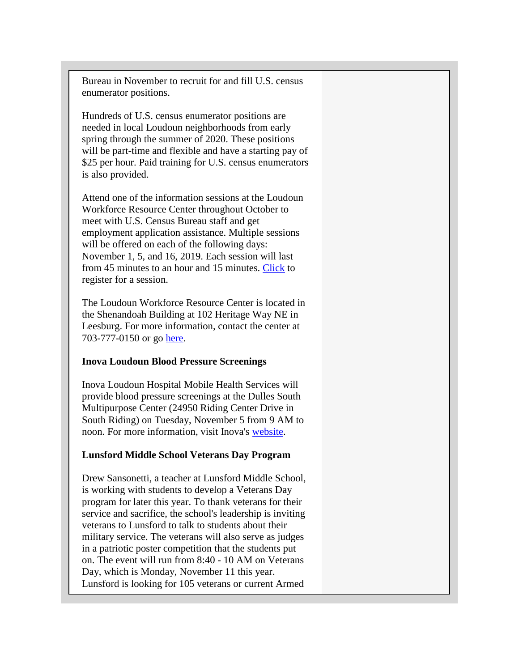Bureau in November to recruit for and fill U.S. census enumerator positions.

Hundreds of U.S. census enumerator positions are needed in local Loudoun neighborhoods from early spring through the summer of 2020. These positions will be part-time and flexible and have a starting pay of \$25 per hour. Paid training for U.S. census enumerators is also provided.

Attend one of the information sessions at the Loudoun Workforce Resource Center throughout October to meet with U.S. Census Bureau staff and get employment application assistance. Multiple sessions will be offered on each of the following days: November 1, 5, and 16, 2019. Each session will last from 45 minutes to an hour and 15 minutes. [Click](https://urldefense.proofpoint.com/v2/url?u=http-3A__r20.rs6.net_tn.jsp-3Ff-3D001trdTeXi3tgNCEuMJXY4KHBFckoY9gUv63X7w7Vkbly-5F7APYrNbuD4VCz8MXogq1iZQGV2VeSCLpVetSy5dmUv6buks3yWnYug-2DZHN09vMrq7eEZWsUy9Lql8NIIeE6E5xv7R8GnpMtCW1N3TrurfEz9ORpEBy5lwy7qOZyg3kcFLVEej-2DbC2wiLLKMF7N-2Der-26c-3DtGC5TTzuqQFudppf2t2OLECIc6Wvq5bawsLCzvQQ7yVOVWg6V-2DAanw-3D-3D-26ch-3D9y8yTR1aaR6HNA3G9vz3UVTTEOqOTu4o3ydItxUGfP4u73D27IXfDA-3D-3D&d=DwMFaQ&c=S4vs0LCp2JGKvqxyKfsbIA&r=fIsmPW5fF9TWnvy18GZCPI1vof9Xco1xiSHMKnqDKZw&m=8d6nZeP6MUZzBgb8F89twFpjdKGhcp28j0ubW9mW0AM&s=al5bXe7tcoM9JxEH1Isetzr1hJs8B803IegrJieNcy4&e=) to register for a session.

The Loudoun Workforce Resource Center is located in the Shenandoah Building at 102 Heritage Way NE in Leesburg. For more information, contact the center at 703-777-0150 or go [here.](https://urldefense.proofpoint.com/v2/url?u=http-3A__r20.rs6.net_tn.jsp-3Ff-3D001trdTeXi3tgNCEuMJXY4KHBFckoY9gUv63X7w7Vkbly-5F7APYrNbuD4VCz8MXogq1iZQGV2VeSCLpVetSy5dmUv6buks3yWnYug-2DZHN09vMrq7eEZWsUy9Lql8NIIeE6E5xv7R8GnpMtCW1N3TrurfEz9ORpEBy5lwy7qOZyg3kcFLVEej-2DbC2wiLLKMF7N-2Der-26c-3DtGC5TTzuqQFudppf2t2OLECIc6Wvq5bawsLCzvQQ7yVOVWg6V-2DAanw-3D-3D-26ch-3D9y8yTR1aaR6HNA3G9vz3UVTTEOqOTu4o3ydItxUGfP4u73D27IXfDA-3D-3D&d=DwMFaQ&c=S4vs0LCp2JGKvqxyKfsbIA&r=fIsmPW5fF9TWnvy18GZCPI1vof9Xco1xiSHMKnqDKZw&m=8d6nZeP6MUZzBgb8F89twFpjdKGhcp28j0ubW9mW0AM&s=al5bXe7tcoM9JxEH1Isetzr1hJs8B803IegrJieNcy4&e=)

#### **Inova Loudoun Blood Pressure Screenings**

Inova Loudoun Hospital Mobile Health Services will provide blood pressure screenings at the Dulles South Multipurpose Center (24950 Riding Center Drive in South Riding) on Tuesday, November 5 from 9 AM to noon. For more information, visit Inova's [website.](https://urldefense.proofpoint.com/v2/url?u=http-3A__r20.rs6.net_tn.jsp-3Ff-3D001trdTeXi3tgNCEuMJXY4KHBFckoY9gUv63X7w7Vkbly-5F7APYrNbuD4VCz8MXogq1iWzXvPB078An8JuqdEUaU3RiABBxnWF8HhVrK7TDZsGaZKiQGCdCS5EGteHsuYxOnUpPhelIooxqPzO4x8lnidT6aALy5lizTMF8KRL3dQtMjEA0TUUqApP5nOWpoMTFkC-2DJ4vya8sOKzvIQJo1ueiE1uKlGBuabB6jfm-2DCTRJOX5bpemaqrqLyyfBDxYMSDSyhQM23DEeehcDZXrJt4M5A-3D-3D-26c-3DtGC5TTzuqQFudppf2t2OLECIc6Wvq5bawsLCzvQQ7yVOVWg6V-2DAanw-3D-3D-26ch-3D9y8yTR1aaR6HNA3G9vz3UVTTEOqOTu4o3ydItxUGfP4u73D27IXfDA-3D-3D&d=DwMFaQ&c=S4vs0LCp2JGKvqxyKfsbIA&r=fIsmPW5fF9TWnvy18GZCPI1vof9Xco1xiSHMKnqDKZw&m=8d6nZeP6MUZzBgb8F89twFpjdKGhcp28j0ubW9mW0AM&s=AkY8rlm7tJW_PrsSXHvsAr6VQbnwhjF07kPznz9LzGg&e=)

#### **Lunsford Middle School Veterans Day Program**

Drew Sansonetti, a teacher at Lunsford Middle School, is working with students to develop a Veterans Day program for later this year. To thank veterans for their service and sacrifice, the school's leadership is inviting veterans to Lunsford to talk to students about their military service. The veterans will also serve as judges in a patriotic poster competition that the students put on. The event will run from 8:40 - 10 AM on Veterans Day, which is Monday, November 11 this year. Lunsford is looking for 105 veterans or current Armed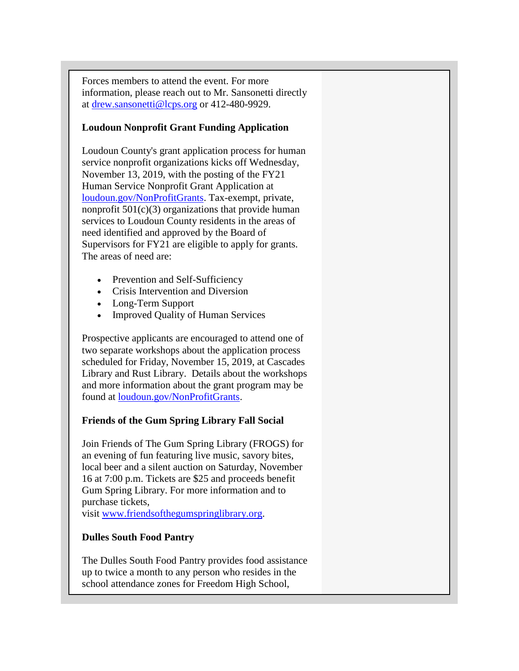Forces members to attend the event. For more information, please reach out to Mr. Sansonetti directly at [drew.sansonetti@lcps.org](mailto:drew.sansonetti@lcps.org) or 412-480-9929.

### **Loudoun Nonprofit Grant Funding Application**

Loudoun County's grant application process for human service nonprofit organizations kicks off Wednesday, November 13, 2019, with the posting of the FY21 Human Service Nonprofit Grant Application at [loudoun.gov/NonProfitGrants.](https://urldefense.proofpoint.com/v2/url?u=http-3A__r20.rs6.net_tn.jsp-3Ff-3D001trdTeXi3tgNCEuMJXY4KHBFckoY9gUv63X7w7Vkbly-5F7APYrNbuD4VCz8MXogq1iMBedWEYSxYqBwAaPgOAG2d4BtaMjKCvMKwiBacaT7tMl-5Fwkg-2Dh-2DkM0ArL7CqVNZFVndOGgR7pkyl2TOvd7p92CYI-2Dro-5Fu-2D0n1UTPxWklwHaGNpkq-2D9z6xjauj29R1Whq-26c-3DtGC5TTzuqQFudppf2t2OLECIc6Wvq5bawsLCzvQQ7yVOVWg6V-2DAanw-3D-3D-26ch-3D9y8yTR1aaR6HNA3G9vz3UVTTEOqOTu4o3ydItxUGfP4u73D27IXfDA-3D-3D&d=DwMFaQ&c=S4vs0LCp2JGKvqxyKfsbIA&r=fIsmPW5fF9TWnvy18GZCPI1vof9Xco1xiSHMKnqDKZw&m=8d6nZeP6MUZzBgb8F89twFpjdKGhcp28j0ubW9mW0AM&s=ZGqLwYefCzwKWWqZ_rvqbJVU-4mPHFOwOdXHNHf8B6c&e=) Tax-exempt, private, nonprofit  $501(c)(3)$  organizations that provide human services to Loudoun County residents in the areas of need identified and approved by the Board of Supervisors for FY21 are eligible to apply for grants. The areas of need are:

- Prevention and Self-Sufficiency
- Crisis Intervention and Diversion
- Long-Term Support
- Improved Quality of Human Services

Prospective applicants are encouraged to attend one of two separate workshops about the application process scheduled for Friday, November 15, 2019, at Cascades Library and Rust Library. Details about the workshops and more information about the grant program may be found at [loudoun.gov/NonProfitGrants.](https://urldefense.proofpoint.com/v2/url?u=http-3A__r20.rs6.net_tn.jsp-3Ff-3D001trdTeXi3tgNCEuMJXY4KHBFckoY9gUv63X7w7Vkbly-5F7APYrNbuD4VCz8MXogq1iMBedWEYSxYqBwAaPgOAG2d4BtaMjKCvMKwiBacaT7tMl-5Fwkg-2Dh-2DkM0ArL7CqVNZFVndOGgR7pkyl2TOvd7p92CYI-2Dro-5Fu-2D0n1UTPxWklwHaGNpkq-2D9z6xjauj29R1Whq-26c-3DtGC5TTzuqQFudppf2t2OLECIc6Wvq5bawsLCzvQQ7yVOVWg6V-2DAanw-3D-3D-26ch-3D9y8yTR1aaR6HNA3G9vz3UVTTEOqOTu4o3ydItxUGfP4u73D27IXfDA-3D-3D&d=DwMFaQ&c=S4vs0LCp2JGKvqxyKfsbIA&r=fIsmPW5fF9TWnvy18GZCPI1vof9Xco1xiSHMKnqDKZw&m=8d6nZeP6MUZzBgb8F89twFpjdKGhcp28j0ubW9mW0AM&s=ZGqLwYefCzwKWWqZ_rvqbJVU-4mPHFOwOdXHNHf8B6c&e=)

## **Friends of the Gum Spring Library Fall Social**

Join Friends of The Gum Spring Library (FROGS) for an evening of fun featuring live music, savory bites, local beer and a silent auction on Saturday, November 16 at 7:00 p.m. Tickets are \$25 and proceeds benefit Gum Spring Library. For more information and to purchase tickets,

visit [www.friendsofthegumspringlibrary.org.](https://urldefense.proofpoint.com/v2/url?u=http-3A__r20.rs6.net_tn.jsp-3Ff-3D001trdTeXi3tgNCEuMJXY4KHBFckoY9gUv63X7w7Vkbly-5F7APYrNbuD4QFPns9UvqeuXpqD71Xjmh8OqP81H17URMVNGk52sFndPus3kDrP0y5oYGULWYcZMVsXaKHLTQMpPdX6bRkwwlfx-2Dxpe4JCyRibT6PYWfMZCRSXs9l5MhkKf-2DrvQ98WSpwaA-5FnM4IyUP-26c-3DtGC5TTzuqQFudppf2t2OLECIc6Wvq5bawsLCzvQQ7yVOVWg6V-2DAanw-3D-3D-26ch-3D9y8yTR1aaR6HNA3G9vz3UVTTEOqOTu4o3ydItxUGfP4u73D27IXfDA-3D-3D&d=DwMFaQ&c=S4vs0LCp2JGKvqxyKfsbIA&r=fIsmPW5fF9TWnvy18GZCPI1vof9Xco1xiSHMKnqDKZw&m=8d6nZeP6MUZzBgb8F89twFpjdKGhcp28j0ubW9mW0AM&s=sa69OZYsSV_mgYQ5oGue8n5yPJJXu3haKXa-iRIg0UE&e=)

### **Dulles South Food Pantry**

The Dulles South Food Pantry provides food assistance up to twice a month to any person who resides in the school attendance zones for Freedom High School,